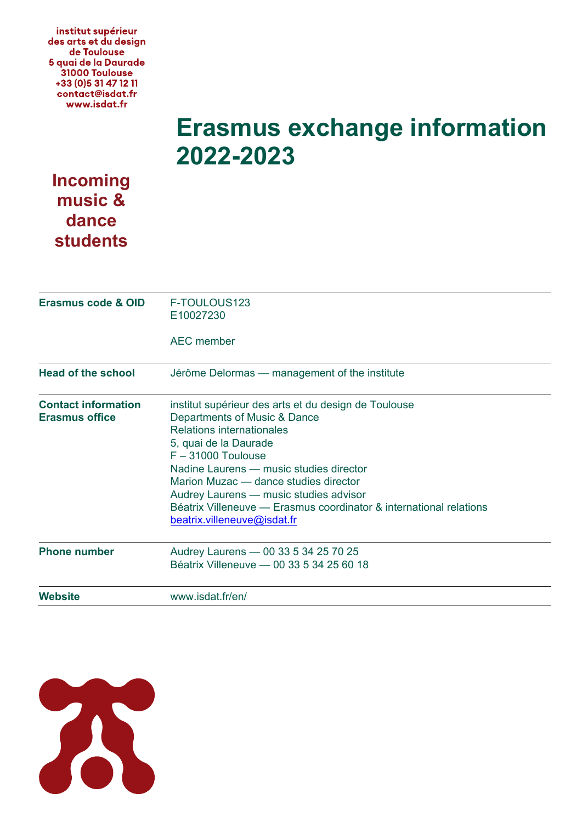institut supérieur des arts et du design de Toulouse 5 quai de la Daurade 31000 Toulouse +33 (0) 5 31 47 12 11 contact@isdat.fr www.isdat.fr

## **Erasmus exchange information 2022-2023**

## **Incoming music & dance students**

| <b>Erasmus code &amp; OID</b>                       | F-TOULOUS123<br>E10027230                                                                                                                                                                                                                                                                                                                                                                             |
|-----------------------------------------------------|-------------------------------------------------------------------------------------------------------------------------------------------------------------------------------------------------------------------------------------------------------------------------------------------------------------------------------------------------------------------------------------------------------|
|                                                     | <b>AEC</b> member                                                                                                                                                                                                                                                                                                                                                                                     |
| <b>Head of the school</b>                           | Jérôme Delormas — management of the institute                                                                                                                                                                                                                                                                                                                                                         |
| <b>Contact information</b><br><b>Erasmus office</b> | institut supérieur des arts et du design de Toulouse<br>Departments of Music & Dance<br>Relations internationales<br>5, quai de la Daurade<br>$F - 31000$ Toulouse<br>Nadine Laurens — music studies director<br>Marion Muzac — dance studies director<br>Audrey Laurens - music studies advisor<br>Béatrix Villeneuve — Erasmus coordinator & international relations<br>beatrix.villeneuve@isdat.fr |
| <b>Phone number</b>                                 | Audrey Laurens - 00 33 5 34 25 70 25<br>Béatrix Villeneuve - 00 33 5 34 25 60 18                                                                                                                                                                                                                                                                                                                      |
| Website                                             | www.isdat.fr/en/                                                                                                                                                                                                                                                                                                                                                                                      |

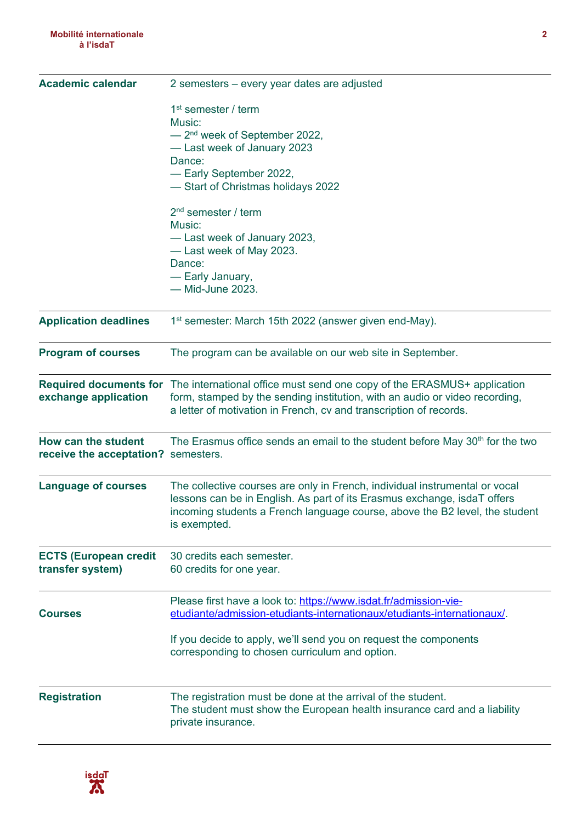| <b>Academic calendar</b>                                   | 2 semesters - every year dates are adjusted                                                                                                                                                                                                            |  |
|------------------------------------------------------------|--------------------------------------------------------------------------------------------------------------------------------------------------------------------------------------------------------------------------------------------------------|--|
|                                                            | 1 <sup>st</sup> semester / term<br>Music:<br>- 2 <sup>nd</sup> week of September 2022,<br>-Last week of January 2023<br>Dance:<br>- Early September 2022,<br>-Start of Christmas holidays 2022                                                         |  |
|                                                            | $2nd$ semester / term<br>Music:<br>-Last week of January 2023,<br>-Last week of May 2023.<br>Dance:<br>- Early January,<br>- Mid-June 2023.                                                                                                            |  |
| <b>Application deadlines</b>                               | 1 <sup>st</sup> semester: March 15th 2022 (answer given end-May).                                                                                                                                                                                      |  |
| <b>Program of courses</b>                                  | The program can be available on our web site in September.                                                                                                                                                                                             |  |
| exchange application                                       | Required documents for The international office must send one copy of the ERASMUS+ application<br>form, stamped by the sending institution, with an audio or video recording,<br>a letter of motivation in French, cv and transcription of records.    |  |
| How can the student<br>receive the acceptation? semesters. | The Erasmus office sends an email to the student before May 30 <sup>th</sup> for the two                                                                                                                                                               |  |
| <b>Language of courses</b>                                 | The collective courses are only in French, individual instrumental or vocal<br>lessons can be in English. As part of its Erasmus exchange, isdaT offers<br>incoming students a French language course, above the B2 level, the student<br>is exempted. |  |
| <b>ECTS (European credit</b><br>transfer system)           | 30 credits each semester.<br>60 credits for one year.                                                                                                                                                                                                  |  |
| <b>Courses</b>                                             | Please first have a look to: https://www.isdat.fr/admission-vie-<br>etudiante/admission-etudiants-internationaux/etudiants-internationaux/.                                                                                                            |  |
|                                                            | If you decide to apply, we'll send you on request the components<br>corresponding to chosen curriculum and option.                                                                                                                                     |  |
| <b>Registration</b>                                        | The registration must be done at the arrival of the student.<br>The student must show the European health insurance card and a liability<br>private insurance.                                                                                         |  |